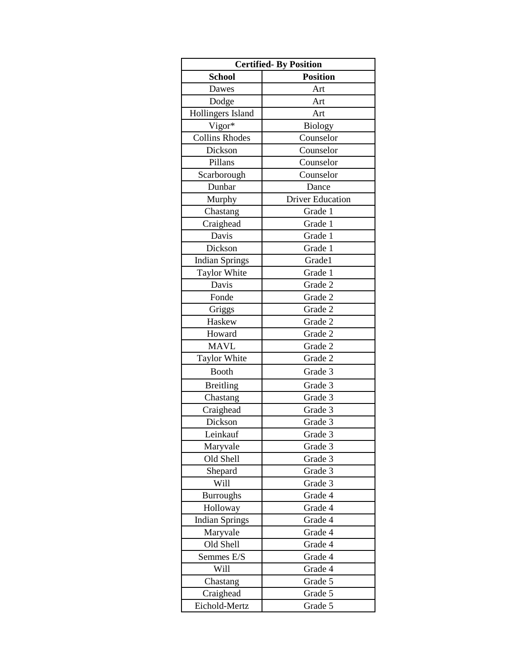| <b>Certified-By Position</b> |                         |
|------------------------------|-------------------------|
| <b>School</b>                | <b>Position</b>         |
| Dawes                        | Art                     |
| Dodge                        | Art                     |
| Hollingers Island            | Art                     |
| Vigor*                       | <b>Biology</b>          |
| <b>Collins Rhodes</b>        | Counselor               |
| Dickson                      | Counselor               |
| Pillans                      | Counselor               |
| Scarborough                  | Counselor               |
| Dunbar                       | Dance                   |
| Murphy                       | <b>Driver Education</b> |
| Chastang                     | Grade 1                 |
| Craighead                    | Grade 1                 |
| Davis                        | Grade 1                 |
| Dickson                      | Grade 1                 |
| <b>Indian Springs</b>        | Grade1                  |
| <b>Taylor White</b>          | Grade 1                 |
| Davis                        | Grade 2                 |
| Fonde                        | Grade 2                 |
| Griggs                       | Grade 2                 |
| Haskew                       | Grade 2                 |
| Howard                       | Grade 2                 |
| <b>MAVL</b>                  | Grade 2                 |
| <b>Taylor White</b>          | Grade 2                 |
| <b>Booth</b>                 | Grade 3                 |
| <b>Breitling</b>             | Grade 3                 |
| Chastang                     | Grade 3                 |
| Craighead                    | Grade 3                 |
| Dickson                      | Grade 3                 |
| Leinkauf                     | Grade 3                 |
| Maryvale                     | Grade 3                 |
| Old Shell                    | Grade 3                 |
| Shepard                      | Grade 3                 |
| Will                         | Grade 3                 |
| <b>Burroughs</b>             | Grade 4                 |
| Holloway                     | Grade 4                 |
| <b>Indian Springs</b>        | Grade 4                 |
| Maryvale                     | Grade 4                 |
| Old Shell                    | Grade 4                 |
| Semmes E/S                   | Grade 4                 |
| Will                         | Grade 4                 |
| Chastang                     | Grade 5                 |
| Craighead                    | Grade 5                 |
| Eichold-Mertz                | Grade 5                 |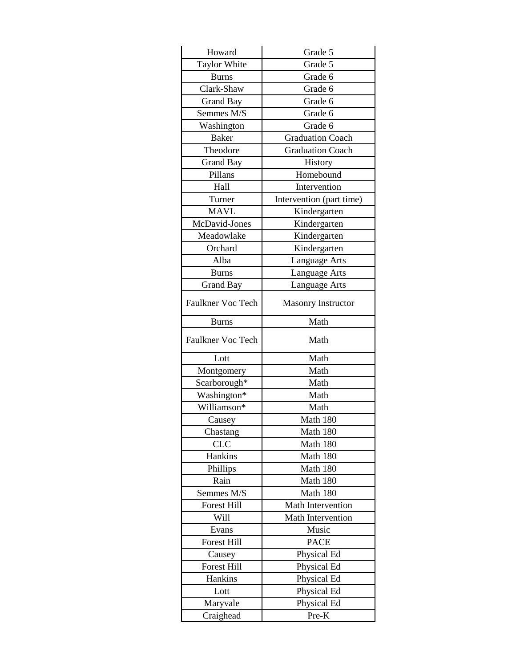| <b>Taylor White</b><br>Grade 5<br>Grade 6<br><b>Burns</b><br>Clark-Shaw<br>Grade 6<br>Grade 6<br><b>Grand Bay</b><br>Semmes M/S<br>Grade 6<br>Grade 6<br>Washington<br><b>Baker</b><br><b>Graduation Coach</b><br>Theodore<br><b>Graduation Coach</b><br><b>Grand Bay</b><br>History<br>Pillans<br>Homebound<br>Hall<br>Intervention<br>Turner<br>Intervention (part time)<br><b>MAVL</b><br>Kindergarten<br>McDavid-Jones<br>Kindergarten<br>Meadowlake<br>Kindergarten<br>Orchard<br>Kindergarten<br>Alba<br>Language Arts<br><b>Burns</b><br>Language Arts<br>Language Arts<br><b>Grand Bay</b><br><b>Faulkner Voc Tech</b><br><b>Masonry Instructor</b><br>Math<br><b>Burns</b><br>Faulkner Voc Tech<br>Math<br>Lott<br>Math<br>Math<br>Montgomery<br>Scarborough*<br>Math<br>Washington*<br>Math<br>Williamson*<br>Math |
|------------------------------------------------------------------------------------------------------------------------------------------------------------------------------------------------------------------------------------------------------------------------------------------------------------------------------------------------------------------------------------------------------------------------------------------------------------------------------------------------------------------------------------------------------------------------------------------------------------------------------------------------------------------------------------------------------------------------------------------------------------------------------------------------------------------------------|
|                                                                                                                                                                                                                                                                                                                                                                                                                                                                                                                                                                                                                                                                                                                                                                                                                              |
|                                                                                                                                                                                                                                                                                                                                                                                                                                                                                                                                                                                                                                                                                                                                                                                                                              |
|                                                                                                                                                                                                                                                                                                                                                                                                                                                                                                                                                                                                                                                                                                                                                                                                                              |
|                                                                                                                                                                                                                                                                                                                                                                                                                                                                                                                                                                                                                                                                                                                                                                                                                              |
|                                                                                                                                                                                                                                                                                                                                                                                                                                                                                                                                                                                                                                                                                                                                                                                                                              |
|                                                                                                                                                                                                                                                                                                                                                                                                                                                                                                                                                                                                                                                                                                                                                                                                                              |
|                                                                                                                                                                                                                                                                                                                                                                                                                                                                                                                                                                                                                                                                                                                                                                                                                              |
|                                                                                                                                                                                                                                                                                                                                                                                                                                                                                                                                                                                                                                                                                                                                                                                                                              |
|                                                                                                                                                                                                                                                                                                                                                                                                                                                                                                                                                                                                                                                                                                                                                                                                                              |
|                                                                                                                                                                                                                                                                                                                                                                                                                                                                                                                                                                                                                                                                                                                                                                                                                              |
|                                                                                                                                                                                                                                                                                                                                                                                                                                                                                                                                                                                                                                                                                                                                                                                                                              |
|                                                                                                                                                                                                                                                                                                                                                                                                                                                                                                                                                                                                                                                                                                                                                                                                                              |
|                                                                                                                                                                                                                                                                                                                                                                                                                                                                                                                                                                                                                                                                                                                                                                                                                              |
|                                                                                                                                                                                                                                                                                                                                                                                                                                                                                                                                                                                                                                                                                                                                                                                                                              |
|                                                                                                                                                                                                                                                                                                                                                                                                                                                                                                                                                                                                                                                                                                                                                                                                                              |
|                                                                                                                                                                                                                                                                                                                                                                                                                                                                                                                                                                                                                                                                                                                                                                                                                              |
|                                                                                                                                                                                                                                                                                                                                                                                                                                                                                                                                                                                                                                                                                                                                                                                                                              |
|                                                                                                                                                                                                                                                                                                                                                                                                                                                                                                                                                                                                                                                                                                                                                                                                                              |
|                                                                                                                                                                                                                                                                                                                                                                                                                                                                                                                                                                                                                                                                                                                                                                                                                              |
|                                                                                                                                                                                                                                                                                                                                                                                                                                                                                                                                                                                                                                                                                                                                                                                                                              |
|                                                                                                                                                                                                                                                                                                                                                                                                                                                                                                                                                                                                                                                                                                                                                                                                                              |
|                                                                                                                                                                                                                                                                                                                                                                                                                                                                                                                                                                                                                                                                                                                                                                                                                              |
|                                                                                                                                                                                                                                                                                                                                                                                                                                                                                                                                                                                                                                                                                                                                                                                                                              |
|                                                                                                                                                                                                                                                                                                                                                                                                                                                                                                                                                                                                                                                                                                                                                                                                                              |
|                                                                                                                                                                                                                                                                                                                                                                                                                                                                                                                                                                                                                                                                                                                                                                                                                              |
|                                                                                                                                                                                                                                                                                                                                                                                                                                                                                                                                                                                                                                                                                                                                                                                                                              |
|                                                                                                                                                                                                                                                                                                                                                                                                                                                                                                                                                                                                                                                                                                                                                                                                                              |
| Math 180<br>Causey                                                                                                                                                                                                                                                                                                                                                                                                                                                                                                                                                                                                                                                                                                                                                                                                           |
| Math 180<br>Chastang                                                                                                                                                                                                                                                                                                                                                                                                                                                                                                                                                                                                                                                                                                                                                                                                         |
| <b>CLC</b><br>Math 180                                                                                                                                                                                                                                                                                                                                                                                                                                                                                                                                                                                                                                                                                                                                                                                                       |
| Hankins<br>Math 180                                                                                                                                                                                                                                                                                                                                                                                                                                                                                                                                                                                                                                                                                                                                                                                                          |
| Phillips<br>Math 180                                                                                                                                                                                                                                                                                                                                                                                                                                                                                                                                                                                                                                                                                                                                                                                                         |
| Rain<br>Math 180                                                                                                                                                                                                                                                                                                                                                                                                                                                                                                                                                                                                                                                                                                                                                                                                             |
| Semmes M/S<br>Math 180                                                                                                                                                                                                                                                                                                                                                                                                                                                                                                                                                                                                                                                                                                                                                                                                       |
| <b>Forest Hill</b><br>Math Intervention                                                                                                                                                                                                                                                                                                                                                                                                                                                                                                                                                                                                                                                                                                                                                                                      |
| Math Intervention<br>Will                                                                                                                                                                                                                                                                                                                                                                                                                                                                                                                                                                                                                                                                                                                                                                                                    |
| Evans<br>Music                                                                                                                                                                                                                                                                                                                                                                                                                                                                                                                                                                                                                                                                                                                                                                                                               |
| <b>Forest Hill</b><br><b>PACE</b>                                                                                                                                                                                                                                                                                                                                                                                                                                                                                                                                                                                                                                                                                                                                                                                            |
| Causey<br>Physical Ed                                                                                                                                                                                                                                                                                                                                                                                                                                                                                                                                                                                                                                                                                                                                                                                                        |
| <b>Forest Hill</b><br>Physical Ed                                                                                                                                                                                                                                                                                                                                                                                                                                                                                                                                                                                                                                                                                                                                                                                            |
| Hankins<br>Physical Ed                                                                                                                                                                                                                                                                                                                                                                                                                                                                                                                                                                                                                                                                                                                                                                                                       |
| Lott<br>Physical Ed                                                                                                                                                                                                                                                                                                                                                                                                                                                                                                                                                                                                                                                                                                                                                                                                          |
| Maryvale<br>Physical Ed                                                                                                                                                                                                                                                                                                                                                                                                                                                                                                                                                                                                                                                                                                                                                                                                      |
| Pre-K<br>Craighead                                                                                                                                                                                                                                                                                                                                                                                                                                                                                                                                                                                                                                                                                                                                                                                                           |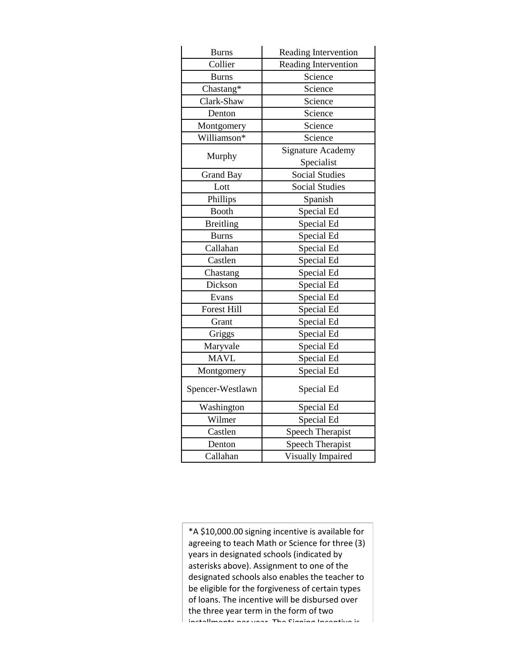| <b>Burns</b>       | Reading Intervention        |
|--------------------|-----------------------------|
| Collier            | <b>Reading Intervention</b> |
| <b>Burns</b>       | Science                     |
| Chastang*          | Science                     |
| Clark-Shaw         | Science                     |
| Denton             | Science                     |
| Montgomery         | Science                     |
| Williamson*        | Science                     |
| Murphy             | <b>Signature Academy</b>    |
|                    | Specialist                  |
| <b>Grand Bay</b>   | <b>Social Studies</b>       |
| Lott               | <b>Social Studies</b>       |
| Phillips           | Spanish                     |
| <b>Booth</b>       | Special Ed                  |
| <b>Breitling</b>   | Special Ed                  |
| <b>Burns</b>       | Special Ed                  |
| Callahan           | Special Ed                  |
| Castlen            | Special Ed                  |
| Chastang           | Special Ed                  |
| Dickson            | Special Ed                  |
| Evans              | Special Ed                  |
| <b>Forest Hill</b> | Special Ed                  |
| Grant              | Special Ed                  |
| Griggs             | Special Ed                  |
| Maryvale           | Special Ed                  |
| <b>MAVL</b>        | Special Ed                  |
| Montgomery         | Special Ed                  |
| Spencer-Westlawn   | Special Ed                  |
| Washington         | Special Ed                  |
| Wilmer             | Special Ed                  |
| Castlen            | <b>Speech Therapist</b>     |
| Denton             | <b>Speech Therapist</b>     |
| Callahan           | Visually Impaired           |

\*A \$10,000.00 signing incentive is available for agreeing to teach Math or Science for three (3) years in designated schools (indicated by asterisks above). Assignment to one of the designated schools also enables the teacher to be eligible for the forgiveness of certain types of loans. The incentive will be disbursed over the three year term in the form of two installments ner year. The Cigning Incentive is